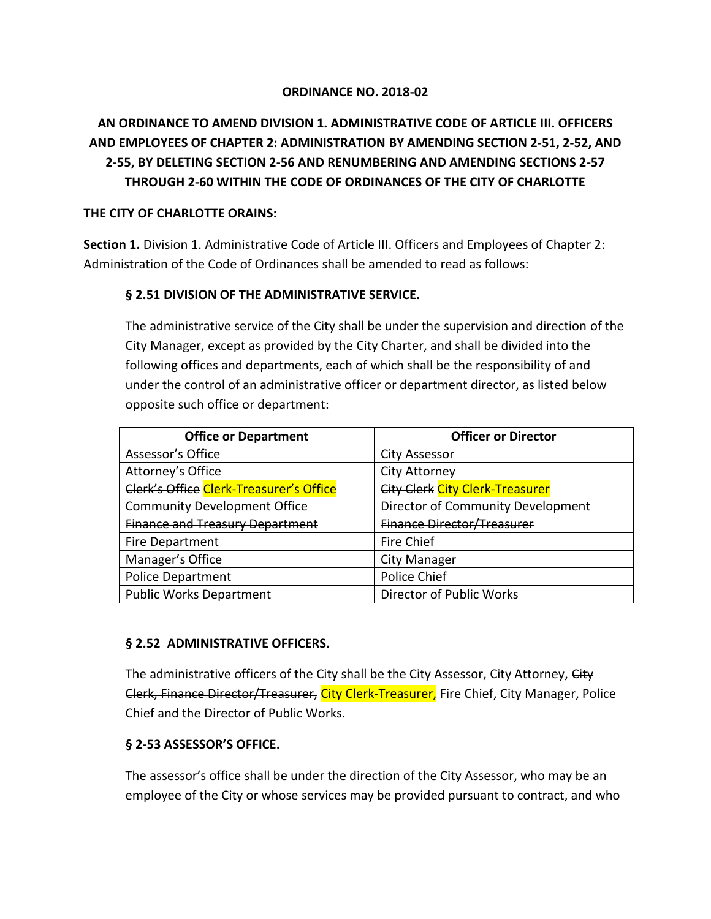#### **ORDINANCE NO. 2018-02**

# **AN ORDINANCE TO AMEND DIVISION 1. ADMINISTRATIVE CODE OF ARTICLE III. OFFICERS AND EMPLOYEES OF CHAPTER 2: ADMINISTRATION BY AMENDING SECTION 2-51, 2-52, AND 2-55, BY DELETING SECTION 2-56 AND RENUMBERING AND AMENDING SECTIONS 2-57 THROUGH 2-60 WITHIN THE CODE OF ORDINANCES OF THE CITY OF CHARLOTTE**

#### **THE CITY OF CHARLOTTE ORAINS:**

**Section 1.** Division 1. Administrative Code of Article III. Officers and Employees of Chapter 2: Administration of the Code of Ordinances shall be amended to read as follows:

#### **§ 2.51 DIVISION OF THE ADMINISTRATIVE SERVICE.**

The administrative service of the City shall be under the supervision and direction of the City Manager, except as provided by the City Charter, and shall be divided into the following offices and departments, each of which shall be the responsibility of and under the control of an administrative officer or department director, as listed below opposite such office or department:

| <b>Office or Department</b>             | <b>Officer or Director</b>             |
|-----------------------------------------|----------------------------------------|
| Assessor's Office                       | <b>City Assessor</b>                   |
| Attorney's Office                       | City Attorney                          |
| Clerk's Office Clerk-Treasurer's Office | <b>City Clerk City Clerk-Treasurer</b> |
| <b>Community Development Office</b>     | Director of Community Development      |
| <b>Finance and Treasury Department</b>  | <b>Finance Director/Treasurer</b>      |
| Fire Department                         | <b>Fire Chief</b>                      |
| Manager's Office                        | City Manager                           |
| <b>Police Department</b>                | Police Chief                           |
| <b>Public Works Department</b>          | Director of Public Works               |

#### **§ 2.52 ADMINISTRATIVE OFFICERS.**

The administrative officers of the City shall be the City Assessor, City Attorney, City Clerk, Finance Director/Treasurer, City Clerk-Treasurer, Fire Chief, City Manager, Police Chief and the Director of Public Works.

## **§ 2-53 ASSESSOR'S OFFICE.**

The assessor's office shall be under the direction of the City Assessor, who may be an employee of the City or whose services may be provided pursuant to contract, and who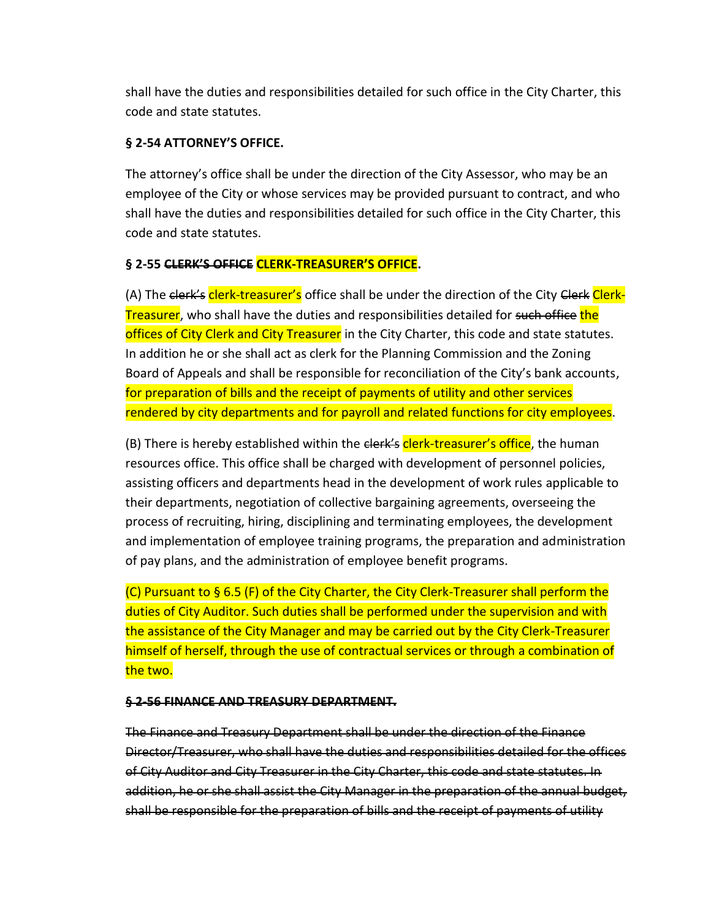shall have the duties and responsibilities detailed for such office in the City Charter, this code and state statutes.

## **§ 2-54 ATTORNEY'S OFFICE.**

The attorney's office shall be under the direction of the City Assessor, who may be an employee of the City or whose services may be provided pursuant to contract, and who shall have the duties and responsibilities detailed for such office in the City Charter, this code and state statutes.

## **§ 2-55 CLERK'S OFFICE CLERK-TREASURER'S OFFICE.**

(A) The clerk's clerk-treasurer's office shall be under the direction of the City Clerk Clerk-Treasurer, who shall have the duties and responsibilities detailed for such office the offices of City Clerk and City Treasurer in the City Charter, this code and state statutes. In addition he or she shall act as clerk for the Planning Commission and the Zoning Board of Appeals and shall be responsible for reconciliation of the City's bank accounts, for preparation of bills and the receipt of payments of utility and other services rendered by city departments and for payroll and related functions for city employees.

(B) There is hereby established within the <del>clerk's</del> clerk-treasurer's office, the human resources office. This office shall be charged with development of personnel policies, assisting officers and departments head in the development of work rules applicable to their departments, negotiation of collective bargaining agreements, overseeing the process of recruiting, hiring, disciplining and terminating employees, the development and implementation of employee training programs, the preparation and administration of pay plans, and the administration of employee benefit programs.

(C) Pursuant to § 6.5 (F) of the City Charter, the City Clerk-Treasurer shall perform the duties of City Auditor. Such duties shall be performed under the supervision and with the assistance of the City Manager and may be carried out by the City Clerk-Treasurer himself of herself, through the use of contractual services or through a combination of the two.

#### **§ 2-56 FINANCE AND TREASURY DEPARTMENT.**

The Finance and Treasury Department shall be under the direction of the Finance Director/Treasurer, who shall have the duties and responsibilities detailed for the offices of City Auditor and City Treasurer in the City Charter, this code and state statutes. In addition, he or she shall assist the City Manager in the preparation of the annual budget, shall be responsible for the preparation of bills and the receipt of payments of utility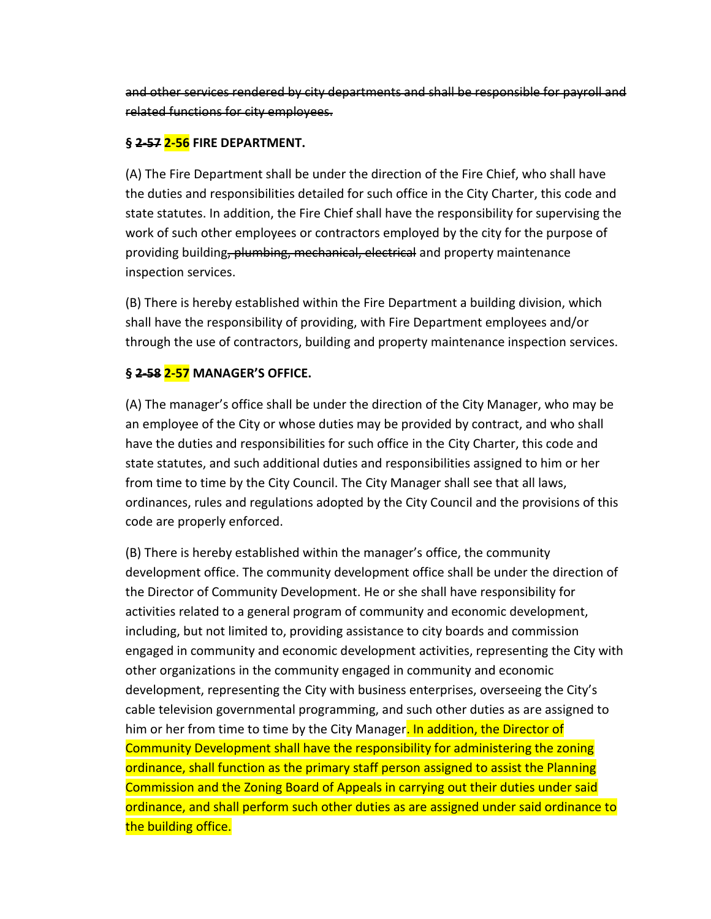and other services rendered by city departments and shall be responsible for payroll and related functions for city employees.

#### **§ 2-57 2-56 FIRE DEPARTMENT.**

(A) The Fire Department shall be under the direction of the Fire Chief, who shall have the duties and responsibilities detailed for such office in the City Charter, this code and state statutes. In addition, the Fire Chief shall have the responsibility for supervising the work of such other employees or contractors employed by the city for the purpose of providing building, plumbing, mechanical, electrical and property maintenance inspection services.

(B) There is hereby established within the Fire Department a building division, which shall have the responsibility of providing, with Fire Department employees and/or through the use of contractors, building and property maintenance inspection services.

## **§ 2-58 2-57 MANAGER'S OFFICE.**

(A) The manager's office shall be under the direction of the City Manager, who may be an employee of the City or whose duties may be provided by contract, and who shall have the duties and responsibilities for such office in the City Charter, this code and state statutes, and such additional duties and responsibilities assigned to him or her from time to time by the City Council. The City Manager shall see that all laws, ordinances, rules and regulations adopted by the City Council and the provisions of this code are properly enforced.

(B) There is hereby established within the manager's office, the community development office. The community development office shall be under the direction of the Director of Community Development. He or she shall have responsibility for activities related to a general program of community and economic development, including, but not limited to, providing assistance to city boards and commission engaged in community and economic development activities, representing the City with other organizations in the community engaged in community and economic development, representing the City with business enterprises, overseeing the City's cable television governmental programming, and such other duties as are assigned to him or her from time to time by the City Manager. In addition, the Director of Community Development shall have the responsibility for administering the zoning ordinance, shall function as the primary staff person assigned to assist the Planning Commission and the Zoning Board of Appeals in carrying out their duties under said ordinance, and shall perform such other duties as are assigned under said ordinance to the building office.